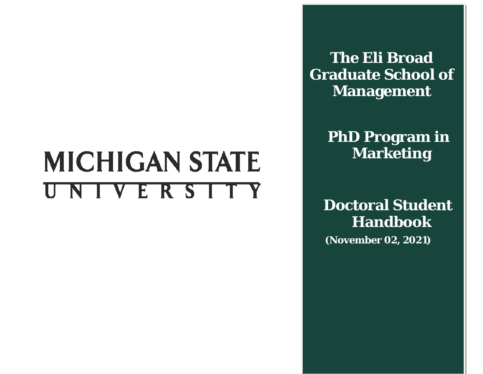# **MICHIGAN STATE** UNIVERSITY

**The Eli Broad Graduate School of Management**

> **PhD Program in Marketing**

**Doctoral Student Handbook**

 **( (November 02, 2021)**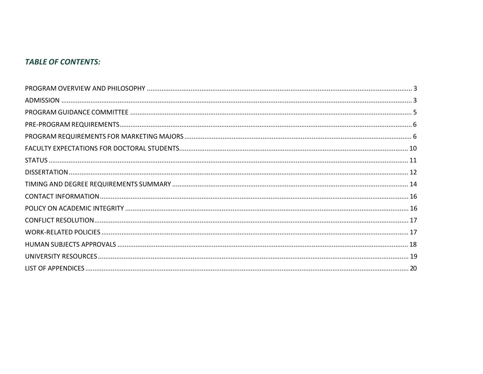# **TABLE OF CONTENTS:**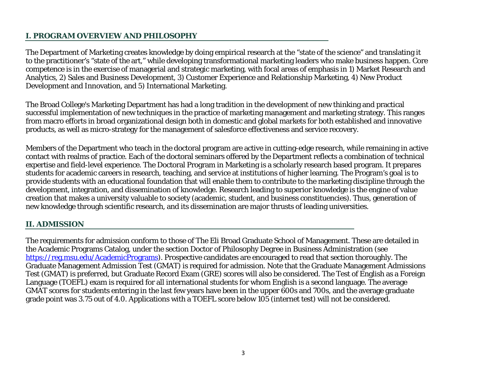# **I. PROGRAM OVERVIEW AND PHILOSOPHY**

The Department of Marketing creates knowledge by doing empirical research at the "state of the science" and translating it to the practitioner's "state of the art," while developing transformational marketing leaders who make business happen. Core competence is in the exercise of managerial and strategic marketing, with focal areas of emphasis in 1) Market Research and Analytics, 2) Sales and Business Development, 3) Customer Experience and Relationship Marketing, 4) New Product Development and Innovation, and 5) International Marketing.

The Broad College's Marketing Department has had a long tradition in the development of new thinking and practical successful implementation of new techniques in the practice of marketing management and marketing strategy. This ranges from macro efforts in broad organizational design both in domestic and global markets for both established and innovative products, as well as micro-strategy for the management of salesforce effectiveness and service recovery.

Members of the Department who teach in the doctoral program are active in cutting-edge research, while remaining in active contact with realms of practice. Each of the doctoral seminars offered by the Department reflects a combination of technical expertise and field-level experience. The Doctoral Program in Marketing is a scholarly research based program. It prepares students for academic careers in research, teaching, and service at institutions of higher learning. The Program's goal is to provide students with an educational foundation that will enable them to contribute to the marketing discipline through the development, integration, and dissemination of knowledge. Research leading to superior knowledge is the engine of value creation that makes a university valuable to society (academic, student, and business constituencies). Thus, generation of new knowledge through scientific research, and its dissemination are major thrusts of leading universities.

# **II. ADMISSION**

The requirements for admission conform to those of The Eli Broad Graduate School of Management. These are detailed in the Academic Programs Catalog, under the section Doctor of Philosophy Degree in Business Administration (see [https://reg.msu.edu/AcademicPrograms\)](https://reg.msu.edu/AcademicPrograms/). Prospective candidates are encouraged to read that section thoroughly. The Graduate Management Admission Test (GMAT) is required for admission. Note that the Graduate Management Admissions Test (GMAT) is preferred, but Graduate Record Exam (GRE) scores will also be considered. The Test of English as a Foreign Language (TOEFL) exam is required for all international students for whom English is a second language. The average GMAT scores for students entering in the last few years have been in the upper 600s and 700s, and the average graduate grade point was 3.75 out of 4.0. Applications with a TOEFL score below 105 (internet test) will not be considered.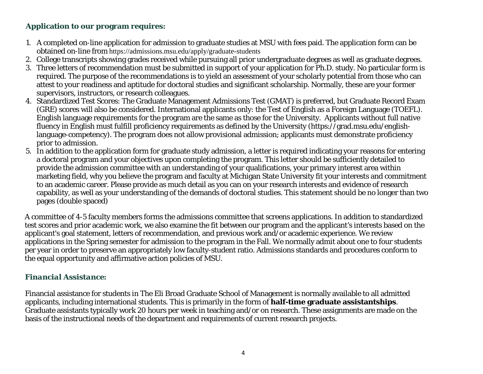# **Application to our program requires:**

- 1. A completed on-line application for admission to graduate studies at MSU with fees paid. The application form can be obtained on-line from https://admissions.msu.edu/apply/graduate-students
- 2. College transcripts showing grades received while pursuing all prior undergraduate degrees as well as graduate degrees.
- 3. Three letters of recommendation must be submitted in support of your application for Ph.D. study. No particular form is required. The purpose of the recommendations is to yield an assessment of your scholarly potential from those who can attest to your readiness and aptitude for doctoral studies and significant scholarship. Normally, these are your former supervisors, instructors, or research colleagues.
- 4. Standardized Test Scores: The Graduate Management Admissions Test (GMAT) is preferred, but Graduate Record Exam (GRE) scores will also be considered. International applicants only: the Test of English as a Foreign Language (TOEFL). English language requirements for the program are the same as those for the University. Applicants without full native fluency in English must fulfill proficiency requirements as defined by the University (https://grad.msu.edu/englishlanguage-competency). The program does not allow provisional admission; applicants must demonstrate proficiency prior to admission.
- 5. In addition to the application form for graduate study admission, a letter is required indicating your reasons for entering a doctoral program and your objectives upon completing the program. This letter should be sufficiently detailed to provide the admission committee with an understanding of your qualifications, your primary interest area within marketing field, why you believe the program and faculty at Michigan State University fit your interests and commitment to an academic career. Please provide as much detail as you can on your research interests and evidence of research capability, as well as your understanding of the demands of doctoral studies. This statement should be no longer than two pages (double spaced)

A committee of 4-5 faculty members forms the admissions committee that screens applications. In addition to standardized test scores and prior academic work, we also examine the fit between our program and the applicant's interests based on the applicant's goal statement, letters of recommendation, and previous work and/or academic experience. We review applications in the Spring semester for admission to the program in the Fall. We normally admit about one to four students per year in order to preserve an appropriately low faculty-student ratio. Admissions standards and procedures conform to the equal opportunity and affirmative action policies of MSU.

# *Financial Assistance:*

Financial assistance for students in The Eli Broad Graduate School of Management is normally available to all admitted applicants, including international students. This is primarily in the form of **half-time graduate assistantships**. Graduate assistants typically work 20 hours per week in teaching and/or on research. These assignments are made on the basis of the instructional needs of the department and requirements of current research projects.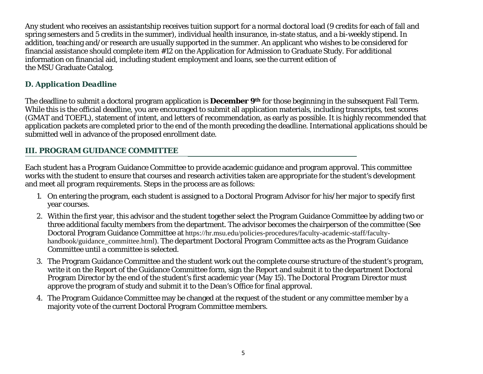Any student who receives an assistantship receives tuition support for a normal doctoral load (9 credits for each of fall and spring semesters and 5 credits in the summer), individual health insurance, in-state status, and a bi-weekly stipend. In addition, teaching and/or research are usually supported in the summer. An applicant who wishes to be considered for financial assistance should complete item #12 on the Application for Admission to Graduate Study. For additional information on financial aid, including student employment and loans, see the current edition of the MSU Graduate Catalog.

# *D. Application Deadline*

The deadline to submit a doctoral program application is **December 9th** for those beginning in the subsequent Fall Term. While this is the official deadline, you are encouraged to submit all application materials, including transcripts, test scores (GMAT and TOEFL), statement of intent, and letters of recommendation, as early as possible. It is highly recommended that application packets are completed prior to the end of the month preceding the deadline. International applications should be submitted well in advance of the proposed enrollment date.

# **III. PROGRAM GUIDANCE COMMITTEE**

Each student has a Program Guidance Committee to provide academic guidance and program approval. This committee works with the student to ensure that courses and research activities taken are appropriate for the student's development and meet all program requirements. Steps in the process are as follows:

- 1. On entering the program, each student is assigned to a Doctoral Program Advisor for his/her major to specify first year courses.
- 2. Within the first year, this advisor and the student together select the Program Guidance Committee by adding two or three additional faculty members from the department. The advisor becomes the chairperson of the committee (See Doctoral Program Guidance Committee at https://hr.msu.edu/policies-procedures/faculty-academic-staff/facultyhandbook/guidance\_committee.html). The department Doctoral Program Committee acts as the Program Guidance Committee until a committee is selected.
- 3. The Program Guidance Committee and the student work out the complete course structure of the student's program, write it on the Report of the Guidance Committee form, sign the Report and submit it to the department Doctoral Program Director by the end of the student's first academic year (May 15). The Doctoral Program Director must approve the program of study and submit it to the Dean's Office for final approval.
- 4. The Program Guidance Committee may be changed at the request of the student or any committee member by a majority vote of the current Doctoral Program Committee members.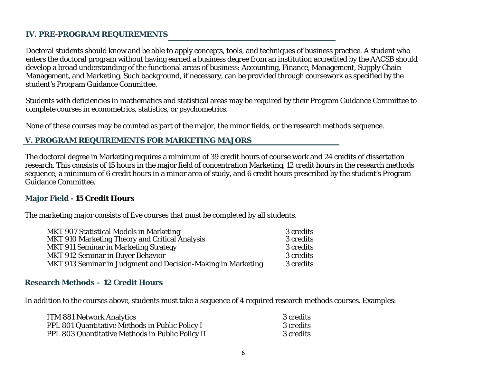#### **IV. PRE-PROGRAM REQUIREMENTS**

Doctoral students should know and be able to apply concepts, tools, and techniques of business practice. A student who enters the doctoral program without having earned a business degree from an institution accredited by the AACSB should develop a broad understanding of the functional areas of business: Accounting, Finance, Management, Supply Chain Management, and Marketing. Such background, if necessary, can be provided through coursework as specified by the student's Program Guidance Committee.

Students with deficiencies in mathematics and statistical areas may be required by their Program Guidance Committee to complete courses in econometrics, statistics, or psychometrics.

None of these courses may be counted as part of the major, the minor fields, or the research methods sequence.

#### **V. PROGRAM REQUIREMENTS FOR MARKETING MAJORS**

The doctoral degree in Marketing requires a minimum of 39 credit hours of course work and 24 credits of dissertation research. This consists of 15 hours in the major field of concentration Marketing, 12 credit hours in the research methods sequence, a minimum of 6 credit hours in a minor area of study, and 6 credit hours prescribed by the student's Program Guidance Committee.

#### **Major Field - 15 Credit Hours**

The marketing major consists of five courses that must be completed by all students.

| MKT 907 Statistical Models in Marketing                      | 3 credits |
|--------------------------------------------------------------|-----------|
| MKT 910 Marketing Theory and Critical Analysis               | 3 credits |
| MKT 911 Seminar in Marketing Strategy                        | 3 credits |
| MKT 912 Seminar in Buyer Behavior                            | 3 credits |
| MKT 913 Seminar in Judgment and Decision-Making in Marketing | 3 credits |

#### **Research Methods – 12 Credit Hours**

In addition to the courses above, students must take a sequence of 4 required research methods courses. Examples:

| <b>ITM 881 Network Analytics</b>                        | 3 credits |
|---------------------------------------------------------|-----------|
| PPL 801 Quantitative Methods in Public Policy I         | 3 credits |
| <b>PPL 803 Quantitative Methods in Public Policy II</b> | 3 credits |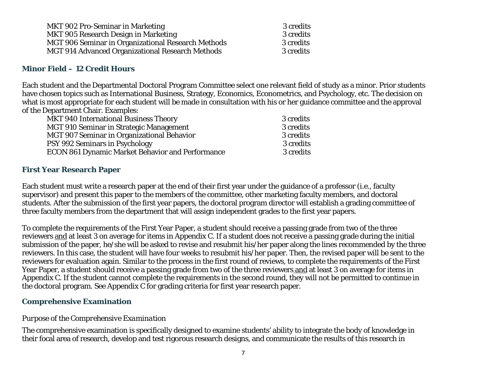| <b>MKT 902 Pro-Seminar in Marketing</b>                 | 3 credits |
|---------------------------------------------------------|-----------|
| MKT 905 Research Design in Marketing                    | 3 credits |
| MGT 906 Seminar in Organizational Research Methods      | 3 credits |
| <b>MGT 914 Advanced Organizational Research Methods</b> | 3 credits |

#### **Minor Field – 12 Credit Hours**

Each student and the Departmental Doctoral Program Committee select one relevant field of study as a minor. Prior students have chosen topics such as International Business, Strategy, Economics, Econometrics, and Psychology, etc. The decision on what is most appropriate for each student will be made in consultation with his or her guidance committee and the approval of the Department Chair. Examples:

| <b>MKT 940 International Business Theory</b>            | 3 credits |
|---------------------------------------------------------|-----------|
| MGT 910 Seminar in Strategic Management                 | 3 credits |
| MGT 907 Seminar in Organizational Behavior              | 3 credits |
| PSY 992 Seminars in Psychology                          | 3 credits |
| <b>ECON 861 Dynamic Market Behavior and Performance</b> | 3 credits |
|                                                         |           |

#### **First Year Research Paper**

Each student must write a research paper at the end of their first year under the guidance of a professor (i.e., faculty supervisor) and present this paper to the members of the committee, other marketing faculty members, and doctoral students. After the submission of the first year papers, the doctoral program director will establish a grading committee of three faculty members from the department that will assign independent grades to the first year papers.

To complete the requirements of the First Year Paper, a student should receive a passing grade from two of the three reviewers and at least 3 on average for items in Appendix C. If a student does not receive a passing grade during the initial submission of the paper, he/she will be asked to revise and resubmit his/her paper along the lines recommended by the three reviewers. In this case, the student will have four weeks to resubmit his/her paper. Then, the revised paper will be sent to the reviewers for evaluation again. Similar to the process in the first round of reviews, to complete the requirements of the First Year Paper, a student should receive a passing grade from two of the three reviewers and at least 3 on average for items in Appendix C. If the student cannot complete the requirements in the second round, they will not be permitted to continue in the doctoral program. See Appendix C for grading criteria for first year research paper.

#### **Comprehensive Examination**

#### *Purpose of the Comprehensive Examination*

The comprehensive examination is specifically designed to examine students' ability to integrate the body of knowledge in their focal area of research, develop and test rigorous research designs, and communicate the results of this research in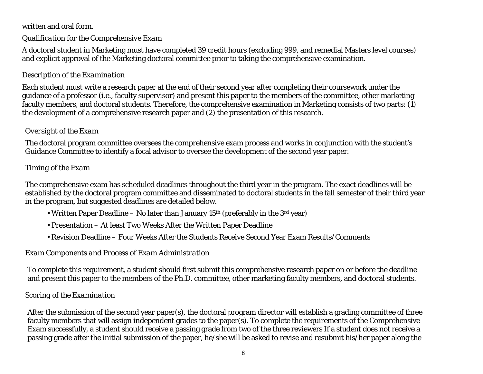# written and oral form.

# *Qualification for the Comprehensive Exam*

A doctoral student in Marketing must have completed 39 credit hours (excluding 999, and remedial Masters level courses) and explicit approval of the Marketing doctoral committee prior to taking the comprehensive examination.

# *Description of the Examination*

Each student must write a research paper at the end of their second year after completing their coursework under the guidance of a professor (i.e., faculty supervisor) and present this paper to the members of the committee, other marketing faculty members, and doctoral students. Therefore, the comprehensive examination in Marketing consists of two parts: (1) the development of a comprehensive research paper and (2) the presentation of this research.

# *Oversight of the Exam*

The doctoral program committee oversees the comprehensive exam process and works in conjunction with the student's Guidance Committee to identify a focal advisor to oversee the development of the second year paper.

# *Timing of the Exam*

The comprehensive exam has scheduled deadlines throughout the third year in the program. The exact deadlines will be established by the doctoral program committee and disseminated to doctoral students in the fall semester of their third year in the program, but suggested deadlines are detailed below.

- Written Paper Deadline No later than January 15<sup>th</sup> (preferably in the 3<sup>rd</sup> year)
- Presentation At least Two Weeks After the Written Paper Deadline
- Revision Deadline Four Weeks After the Students Receive Second Year Exam Results/Comments

# *Exam Components and Process of Exam Administration*

To complete this requirement, a student should first submit this comprehensive research paper on or before the deadline and present this paper to the members of the Ph.D. committee, other marketing faculty members, and doctoral students.

# *Scoring of the Examination*

After the submission of the second year paper(s), the doctoral program director will establish a grading committee of three faculty members that will assign independent grades to the paper(s). To complete the requirements of the Comprehensive Exam successfully, a student should receive a passing grade from two of the three reviewers If a student does not receive a passing grade after the initial submission of the paper, he/she will be asked to revise and resubmit his/her paper along the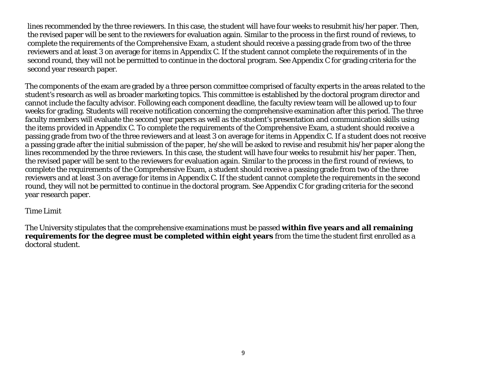lines recommended by the three reviewers. In this case, the student will have four weeks to resubmit his/her paper. Then, the revised paper will be sent to the reviewers for evaluation again. Similar to the process in the first round of reviews, to complete the requirements of the Comprehensive Exam, a student should receive a passing grade from two of the three reviewers and at least 3 on average for items in Appendix C. If the student cannot complete the requirements of in the second round, they will not be permitted to continue in the doctoral program. See Appendix C for grading criteria for the second year research paper.

The components of the exam are graded by a three person committee comprised of faculty experts in the areas related to the student's research as well as broader marketing topics. This committee is established by the doctoral program director and cannot include the faculty advisor. Following each component deadline, the faculty review team will be allowed up to four weeks for grading. Students will receive notification concerning the comprehensive examination after this period. The three faculty members will evaluate the second year papers as well as the student's presentation and communication skills using the items provided in Appendix C. To complete the requirements of the Comprehensive Exam, a student should receive a passing grade from two of the three reviewers and at least 3 on average for items in Appendix C. If a student does not receive a passing grade after the initial submission of the paper, he/she will be asked to revise and resubmit his/her paper along the lines recommended by the three reviewers. In this case, the student will have four weeks to resubmit his/her paper. Then, the revised paper will be sent to the reviewers for evaluation again. Similar to the process in the first round of reviews, to complete the requirements of the Comprehensive Exam, a student should receive a passing grade from two of the three reviewers and at least 3 on average for items in Appendix C. If the student cannot complete the requirements in the second round, they will not be permitted to continue in the doctoral program. See Appendix C for grading criteria for the second year research paper.

#### *Time Limit*

The University stipulates that the comprehensive examinations must be passed **within five years and all remaining requirements for the degree must be completed within eight years** from the time the student first enrolled as a doctoral student.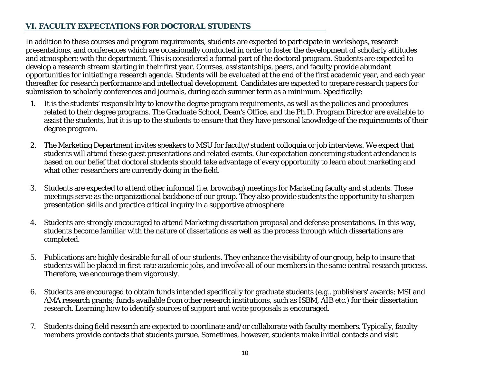# **VI. FACULTY EXPECTATIONS FOR DOCTORAL STUDENTS**

In addition to these courses and program requirements, students are expected to participate in workshops, research presentations, and conferences which are occasionally conducted in order to foster the development of scholarly attitudes and atmosphere with the department. This is considered a formal part of the doctoral program. Students are expected to develop a research stream starting in their first year. Courses, assistantships, peers, and faculty provide abundant opportunities for initiating a research agenda. Students will be evaluated at the end of the first academic year, and each year thereafter for research performance and intellectual development. Candidates are expected to prepare research papers for submission to scholarly conferences and journals, during each summer term as a minimum. Specifically:

- 1. It is the students' responsibility to know the degree program requirements, as well as the policies and procedures related to their degree programs. The Graduate School, Dean's Office, and the Ph.D. Program Director are available to assist the students, but it is up to the students to ensure that they have personal knowledge of the requirements of their degree program.
- 2. The Marketing Department invites speakers to MSU for faculty/student colloquia or job interviews. We expect that students will attend these guest presentations and related events. Our expectation concerning student attendance is based on our belief that doctoral students should take advantage of every opportunity to learn about marketing and what other researchers are currently doing in the field.
- 3. Students are expected to attend other informal (i.e. brownbag) meetings for Marketing faculty and students. These meetings serve as the organizational backbone of our group. They also provide students the opportunity to sharpen presentation skills and practice critical inquiry in a supportive atmosphere.
- 4. Students are strongly encouraged to attend Marketing dissertation proposal and defense presentations. In this way, students become familiar with the nature of dissertations as well as the process through which dissertations are completed.
- 5. Publications are highly desirable for all of our students. They enhance the visibility of our group, help to insure that students will be placed in first-rate academic jobs, and involve all of our members in the same central research process. Therefore, we encourage them vigorously.
- 6. Students are encouraged to obtain funds intended specifically for graduate students (e.g., publishers' awards; MSI and AMA research grants; funds available from other research institutions, such as ISBM, AIB etc.) for their dissertation research. Learning how to identify sources of support and write proposals is encouraged.
- 7. Students doing field research are expected to coordinate and/or collaborate with faculty members. Typically, faculty members provide contacts that students pursue. Sometimes, however, students make initial contacts and visit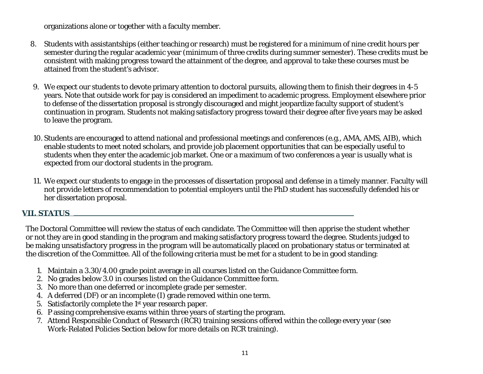organizations alone or together with a faculty member.

- 8. Students with assistantships (either teaching or research) must be registered for a minimum of nine credit hours per semester during the regular academic year (minimum of three credits during summer semester). These credits must be consistent with making progress toward the attainment of the degree, and approval to take these courses must be attained from the student's advisor.
- 9. We expect our students to devote primary attention to doctoral pursuits, allowing them to finish their degrees in 4-5 years. Note that outside work for pay is considered an impediment to academic progress. Employment elsewhere prior to defense of the dissertation proposal is strongly discouraged and might jeopardize faculty support of student's continuation in program. Students not making satisfactory progress toward their degree after five years may be asked to leave the program.
- 10. Students are encouraged to attend national and professional meetings and conferences (e.g., AMA, AMS, AIB), which enable students to meet noted scholars, and provide job placement opportunities that can be especially useful to students when they enter the academic job market. One or a maximum of two conferences a year is usually what is expected from our doctoral students in the program.
- 11. We expect our students to engage in the processes of dissertation proposal and defense in a timely manner. Faculty will not provide letters of recommendation to potential employers until the PhD student has successfully defended his or her dissertation proposal.

#### **VII. STATUS**

The Doctoral Committee will review the status of each candidate. The Committee will then apprise the student whether or not they are in good standing in the program and making satisfactory progress toward the degree. Students judged to be making unsatisfactory progress in the program will be automatically placed on probationary status or terminated at the discretion of the Committee. All of the following criteria must be met for a student to be in good standing:

- 1. Maintain a 3.30/4.00 grade point average in all courses listed on the Guidance Committee form.
- 2. No grades below 3.0 in courses listed on the Guidance Committee form.
- 3. No more than one deferred or incomplete grade per semester.
- 4. A deferred (DF) or an incomplete (I) grade removed within one term.
- 5. Satisfactorily complete the 1st year research paper.
- 6. P assing comprehensive exams within three years of starting the program.
- 7. Attend Responsible Conduct of Research (RCR) training sessions offered within the college every year (see Work-Related Policies Section below for more details on RCR training).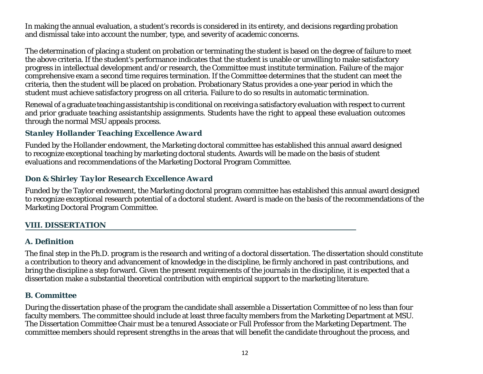In making the annual evaluation, a student's records is considered in its entirety, and decisions regarding probation and dismissal take into account the number, type, and severity of academic concerns.

The determination of placing a student on probation or terminating the student is based on the degree of failure to meet the above criteria. If the student's performance indicates that the student is unable or unwilling to make satisfactory progress in intellectual development and/or research, the Committee must institute termination. Failure of the major comprehensive exam a second time requires termination. If the Committee determines that the student can meet the criteria, then the student will be placed on probation. Probationary Status provides a one-year period in which the student must achieve satisfactory progress on all criteria. Failure to do so results in automatic termination.

Renewal of a graduate teaching assistantship is conditional on receiving a satisfactory evaluation with respect to current and prior graduate teaching assistantship assignments. Students have the right to appeal these evaluation outcomes through the normal MSU appeals process.

# *Stanley Hollander Teaching Excellence Award*

Funded by the Hollander endowment, the Marketing doctoral committee has established this annual award designed to recognize exceptional teaching by marketing doctoral students. Awards will be made on the basis of student evaluations and recommendations of the Marketing Doctoral Program Committee.

# *Don & Shirley Taylor Research Excellence Award*

Funded by the Taylor endowment, the Marketing doctoral program committee has established this annual award designed to recognize exceptional research potential of a doctoral student. Award is made on the basis of the recommendations of the Marketing Doctoral Program Committee.

# **VIII. DISSERTATION**

# *A. Definition*

The final step in the Ph.D. program is the research and writing of a doctoral dissertation. The dissertation should constitute a contribution to theory and advancement of knowledge in the discipline, be firmly anchored in past contributions, and bring the discipline a step forward. Given the present requirements of the journals in the discipline, it is expected that a dissertation make a substantial theoretical contribution with empirical support to the marketing literature.

# *B. Committee*

During the dissertation phase of the program the candidate shall assemble a Dissertation Committee of no less than four faculty members. The committee should include at least three faculty members from the Marketing Department at MSU. The Dissertation Committee Chair must be a tenured Associate or Full Professor from the Marketing Department. The committee members should represent strengths in the areas that will benefit the candidate throughout the process, and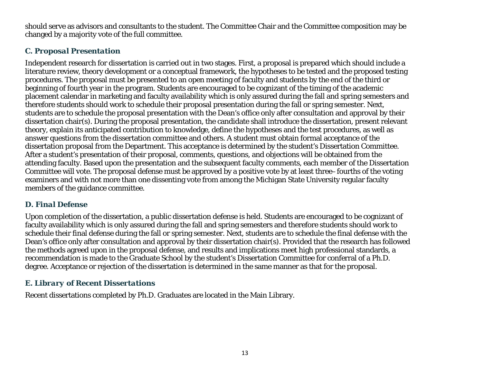should serve as advisors and consultants to the student. The Committee Chair and the Committee composition may be changed by a majority vote of the full committee.

# *C. Proposal Presentation*

Independent research for dissertation is carried out in two stages. First, a proposal is prepared which should include a literature review, theory development or a conceptual framework, the hypotheses to be tested and the proposed testing procedures. The proposal must be presented to an open meeting of faculty and students by the end of the third or beginning of fourth year in the program. Students are encouraged to be cognizant of the timing of the academic placement calendar in marketing and faculty availability which is only assured during the fall and spring semesters and therefore students should work to schedule their proposal presentation during the fall or spring semester. Next, students are to schedule the proposal presentation with the Dean's office only after consultation and approval by their dissertation chair(s). During the proposal presentation, the candidate shall introduce the dissertation, present relevant theory, explain its anticipated contribution to knowledge, define the hypotheses and the test procedures, as well as answer questions from the dissertation committee and others. A student must obtain formal acceptance of the dissertation proposal from the Department. This acceptance is determined by the student's Dissertation Committee. After a student's presentation of their proposal, comments, questions, and objections will be obtained from the attending faculty. Based upon the presentation and the subsequent faculty comments, each member of the Dissertation Committee will vote. The proposal defense must be approved by a positive vote by at least three–fourths of the voting examiners and with not more than one dissenting vote from among the Michigan State University regular faculty members of the guidance committee.

#### *D. Final Defense*

Upon completion of the dissertation, a public dissertation defense is held. Students are encouraged to be cognizant of faculty availability which is only assured during the fall and spring semesters and therefore students should work to schedule their final defense during the fall or spring semester. Next, students are to schedule the final defense with the Dean's office only after consultation and approval by their dissertation chair(s). Provided that the research has followed the methods agreed upon in the proposal defense, and results and implications meet high professional standards, a recommendation is made to the Graduate School by the student's Dissertation Committee for conferral of a Ph.D. degree. Acceptance or rejection of the dissertation is determined in the same manner as that for the proposal.

#### *E. Library of Recent Dissertations*

Recent dissertations completed by Ph.D. Graduates are located in the Main Library.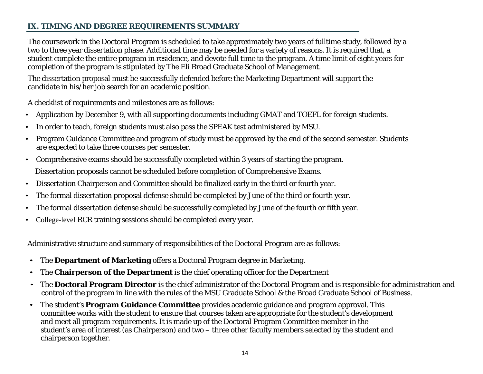# **IX. TIMING AND DEGREE REQUIREMENTS SUMMARY**

The coursework in the Doctoral Program is scheduled to take approximately two years of fulltime study, followed by a two to three year dissertation phase. Additional time may be needed for a variety of reasons. It is required that, a student complete the entire program in residence, and devote full time to the program. A time limit of eight years for completion of the program is stipulated by The Eli Broad Graduate School of Management.

The dissertation proposal must be successfully defended before the Marketing Department will support the candidate in his/her job search for an academic position.

A checklist of requirements and milestones are as follows:

- Application by December 9, with all supporting documents including GMAT and TOEFL for foreign students.
- In order to teach, foreign students must also pass the SPEAK test administered by MSU.
- Program Guidance Committee and program of study must be approved by the end of the second semester. Students are expected to take three courses per semester.
- Comprehensive exams should be successfully completed within 3 years of starting the program. Dissertation proposals cannot be scheduled before completion of Comprehensive Exams.
- Dissertation Chairperson and Committee should be finalized early in the third or fourth year.
- The formal dissertation proposal defense should be completed by June of the third or fourth year.
- The formal dissertation defense should be successfully completed by June of the fourth or fifth year.
- College-level RCR training sessions should be completed every year.

Administrative structure and summary of responsibilities of the Doctoral Program are as follows:

- The **Department of Marketing** offers a Doctoral Program degree in Marketing.
- The **Chairperson of the Department** is the chief operating officer for the Department
- The **Doctoral Program Director** is the chief administrator of the Doctoral Program and is responsible for administration and control of the program in line with the rules of the MSU Graduate School & the Broad Graduate School of Business.
- The student's **Program Guidance Committee** provides academic guidance and program approval. This committee works with the student to ensure that courses taken are appropriate for the student's development and meet all program requirements. It is made up of the Doctoral Program Committee member in the student's area of interest (as Chairperson) and two – three other faculty members selected by the student and chairperson together.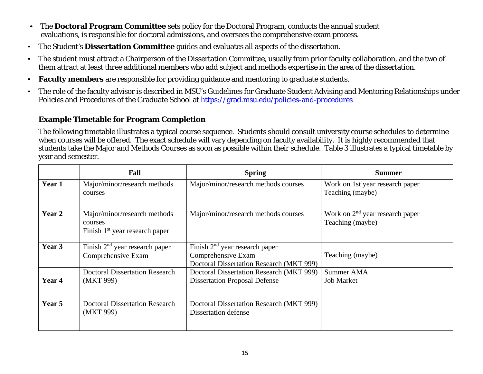- The **Doctoral Program Committee** sets policy for the Doctoral Program, conducts the annual student evaluations, is responsible for doctoral admissions, and oversees the comprehensive exam process.
- The Student's **Dissertation Committee** guides and evaluates all aspects of the dissertation.
- The student must attract a Chairperson of the Dissertation Committee, usually from prior faculty collaboration, and the two of them attract at least three additional members who add subject and methods expertise in the area of the dissertation.
- **Faculty members** are responsible for providing guidance and mentoring to graduate students.
- The role of the faculty advisor is described in MSU's Guidelines for Graduate Student Advising and Mentoring Relationships under Policies and Procedures of the Graduate School at<https://grad.msu.edu/policies-and-procedures>

#### **Example Timetable for Program Completion**

The following timetable illustrates a typical course sequence. Students should consult university course schedules to determine when courses will be offered. The exact schedule will vary depending on faculty availability. It is highly recommended that students take the Major and Methods Courses as soon as possible within their schedule. Table 3 illustrates a typical timetable by year and semester.

|        | Fall                                                                        | <b>Spring</b>                                                                                      | <b>Summer</b>                                         |
|--------|-----------------------------------------------------------------------------|----------------------------------------------------------------------------------------------------|-------------------------------------------------------|
| Year 1 | Major/minor/research methods<br>courses                                     | Major/minor/research methods courses                                                               | Work on 1st year research paper<br>Teaching (maybe)   |
| Year 2 | Major/minor/research methods<br>courses<br>Finish $1st$ year research paper | Major/minor/research methods courses                                                               | Work on $2nd$ year research paper<br>Teaching (maybe) |
| Year 3 | Finish $2nd$ year research paper<br>Comprehensive Exam                      | Finish $2nd$ year research paper<br>Comprehensive Exam<br>Doctoral Dissertation Research (MKT 999) | Teaching (maybe)                                      |
| Year 4 | <b>Doctoral Dissertation Research</b><br>(MKT 999)                          | Doctoral Dissertation Research (MKT 999)<br><b>Dissertation Proposal Defense</b>                   | Summer AMA<br><b>Job Market</b>                       |
| Year 5 | <b>Doctoral Dissertation Research</b><br>(MKT 999)                          | Doctoral Dissertation Research (MKT 999)<br><b>Dissertation defense</b>                            |                                                       |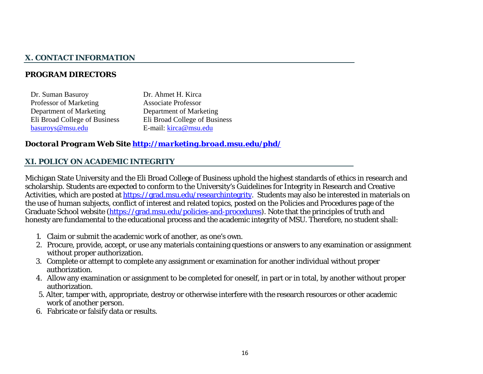# **X. CONTACT INFORMATION**

### *PROGRAM DIRECTORS*

| Dr. Suman Basuroy             | Dr. Ahmet H. Kirca            |
|-------------------------------|-------------------------------|
| Professor of Marketing        | <b>Associate Professor</b>    |
| Department of Marketing       | Department of Marketing       |
| Eli Broad College of Business | Eli Broad College of Business |
| basuroys@msu.edu              | E-mail: kirca@msu.edu         |

#### *Doctoral Program Web Site <http://marketing.broad.msu.edu/phd/>*

#### **XI. POLICY ON ACADEMIC INTEGRITY**

Michigan State University and the Eli Broad College of Business uphold the highest standards of ethics in research and scholarship. Students are expected to conform to the University's Guidelines for Integrity in Research and Creative Activities, which are posted at [https://grad.msu.edu/researchintegrity.](https://grad.msu.edu/researchintegrity) Students may also be interested in materials on the use of human subjects, conflict of interest and related topics, posted on the Policies and Procedures page of the Graduate School website [\(https://grad.msu.edu/policies-and-procedures\)](https://grad.msu.edu/policies-and-procedures). Note that the principles of truth and honesty are fundamental to the educational process and the academic integrity of MSU. Therefore, no student shall:

- 1. Claim or submit the academic work of another, as one's own.
- 2. Procure, provide, accept, or use any materials containing questions or answers to any examination or assignment without proper authorization.
- 3. Complete or attempt to complete any assignment or examination for another individual without proper authorization.
- 4. Allow any examination or assignment to be completed for oneself, in part or in total, by another without proper authorization.
- 5. Alter, tamper with, appropriate, destroy or otherwise interfere with the research resources or other academic work of another person.
- 6. Fabricate or falsify data or results.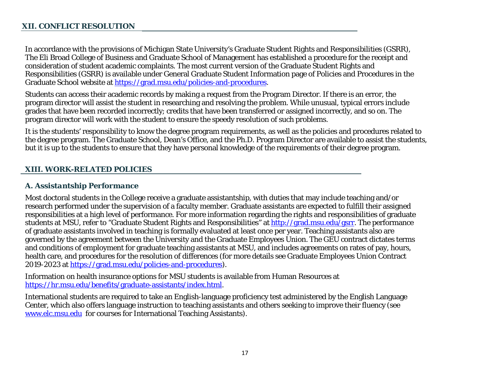#### **XII. CONFLICT RESOLUTION**

In accordance with the provisions of Michigan State University's Graduate Student Rights and Responsibilities (GSRR), The Eli Broad College of Business and Graduate School of Management has established a procedure for the receipt and consideration of student academic complaints. The most current version of the Graduate Student Rights and Responsibilities (GSRR) is available under General Graduate Student Information page of Policies and Procedures in the Graduate School website at [https://grad.msu.edu/policies-and-procedures.](https://grad.msu.edu/policies-and-procedures)

Students can access their academic records by making a request from the Program Director. If there is an error, the program director will assist the student in researching and resolving the problem. While unusual, typical errors include grades that have been recorded incorrectly; credits that have been transferred or assigned incorrectly, and so on. The program director will work with the student to ensure the speedy resolution of such problems.

It is the students' responsibility to know the degree program requirements, as well as the policies and procedures related to the degree program. The Graduate School, Dean's Office, and the Ph.D. Program Director are available to assist the students, but it is up to the students to ensure that they have personal knowledge of the requirements of their degree program.

#### **XIII. WORK-RELATED POLICIES**

#### *A. Assistantship Performance*

Most doctoral students in the College receive a graduate assistantship, with duties that may include teaching and/or research performed under the supervision of a faculty member. Graduate assistants are expected to fulfill their assigned responsibilities at a high level of performance. For more information regarding the rights and responsibilities of graduate students at MSU, refer to "Graduate Student Rights and [Responsibilities" a](http://www.vps.msu.edu/SpLife/)t [http://grad.msu.edu/gsrr.](http://grad.msu.edu/gsrr) The performance of graduate assistants involved in teaching is formally evaluated at least once per year. Teaching assistants also are governed by the agreement between the University and the Graduate Employees Unio[n.](http://www.msu.edu/user/gradschl/geu/agree.pdf) The GEU contract dictates terms and conditions of employment for graduate teaching assistants at MSU, and includes agreements on rates of pay, hours, health care, and procedures for the resolution of differences (for more details see Graduate Employees Union Contract 2019-2023 at [https://grad.msu.edu/policies-and-procedures\)](https://grad.msu.edu/policies-and-procedures).

Information on health insurance options for MSU students is available from Human Resources at [https://hr.msu.edu/benefits/graduate-assistants/index.html.](https://hr.msu.edu/benefits/graduate-assistants/index.html)

International students are required to take an English-language proficiency test administered by the English Language Center, which also offers language instruction to teaching assistants and others seeking to improve their fluency (see [www.elc.msu.edu](http://www.elc.msu.edu/) for courses for International Teaching Assistants).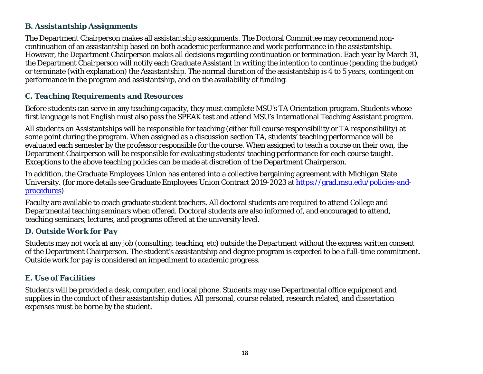# *B. Assistantship Assignments*

The Department Chairperson makes all assistantship assignments. The Doctoral Committee may recommend noncontinuation of an assistantship based on both academic performance and work performance in the assistantship. However, the Department Chairperson makes all decisions regarding continuation or termination. Each year by March 31, the Department Chairperson will notify each Graduate Assistant in writing the intention to continue (pending the budget) or terminate (with explanation) the Assistantship. The normal duration of the assistantship is 4 to 5 years, contingent on performance in the program and assistantship, and on the availability of funding.

# *C. Teaching Requirements and Resources*

Before students can serve in any teaching capacity, they must complete MSU's TA Orientation program. Students whose first language is not English must also pass the SPEAK test and attend MSU's International Teaching Assistant program.

All students on Assistantships will be responsible for teaching (either full course responsibility or TA responsibility) at some point during the program. When assigned as a discussion section TA, students' teaching performance will be evaluated each semester by the professor responsible for the course. When assigned to teach a course on their own, the Department Chairperson will be responsible for evaluating students' teaching performance for each course taught. Exceptions to the above teaching policies can be made at discretion of the Department Chairperson.

In addition, the Graduate Employees Union has entered into a collective bargaining agreement with Michigan State University. (for more details see Graduate Employees Union Contract 2019-2023 at [https://grad.msu.edu/policies-and](https://grad.msu.edu/policies-and-procedures)[procedures\)](https://grad.msu.edu/policies-and-procedures)

Faculty [are available to coach graduate student teacher](http://grad.msu.edu/geu/agree.pdf)s. All doctoral students are required to attend [College and](http://grad.msu.edu/geu/agree.pdf)  [Departmental teaching seminars when of](http://grad.msu.edu/geu/agree.pdf)fered. Doctoral students are also informed of, and encouraged to attend, teaching seminars, lectures, and programs offered at the university level.

# *D. Outside Work for Pay*

Students may not work at any job (consulting, teaching, etc) outside the Department without the express written consent of the Department Chairperson. The student's assistantship and degree program is expected to be a full-time commitment. Outside work for pay is considered an impediment to academic progress.

# *E. Use of Facilities*

Students will be provided a desk, computer, and local phone. Students may use Departmental office equipment and supplies in the conduct of their assistantship duties. All personal, course related, research related, and dissertation expenses must be borne by the student.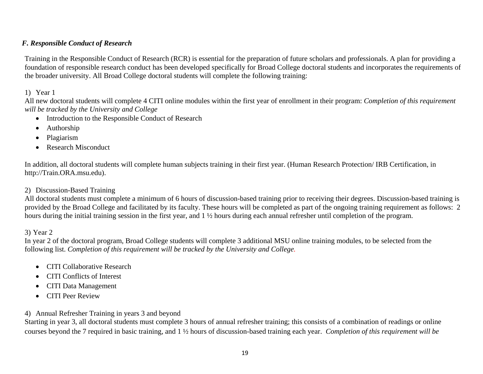#### *F. Responsible Conduct of Research*

Training in the Responsible Conduct of Research (RCR) is essential for the preparation of future scholars and professionals. A plan for providing a foundation of responsible research conduct has been developed specifically for Broad College doctoral students and incorporates the requirements of the broader university. All Broad College doctoral students will complete the following training:

#### 1) Year 1

All new doctoral students will complete 4 CITI online modules within the first year of enrollment in their program: *Completion of this requirement will be tracked by the University and College*

- Introduction to the Responsible Conduct of Research
- Authorship
- Plagiarism
- Research Misconduct

In addition, all doctoral students will complete human subjects training in their first year. (Human Research Protection/ IRB Certification, in http://Train.ORA.msu.edu).

#### 2) Discussion-Based Training

All doctoral students must complete a minimum of 6 hours of discussion-based training prior to receiving their degrees. Discussion-based training is provided by the Broad College and facilitated by its faculty. These hours will be completed as part of the ongoing training requirement as follows: 2 hours during the initial training session in the first year, and 1 ½ hours during each annual refresher until completion of the program.

#### 3) Year 2

In year 2 of the doctoral program, Broad College students will complete 3 additional MSU online training modules, to be selected from the following list. *Completion of this requirement will be tracked by the University and College.*

- CITI Collaborative Research
- CITI Conflicts of Interest
- CITI Data Management
- CITI Peer Review
- 4) Annual Refresher Training in years 3 and beyond

Starting in year 3, all doctoral students must complete 3 hours of annual refresher training; this consists of a combination of readings or online courses beyond the 7 required in basic training, and 1 ½ hours of discussion-based training each year. *Completion of this requirement will be*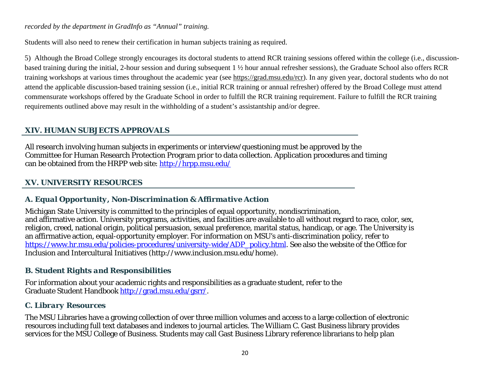#### *recorded by the department in GradInfo as "Annual" training.*

Students will also need to renew their certification in human subjects training as required.

5) Although the Broad College strongly encourages its doctoral students to attend RCR training sessions offered within the college (i.e., discussionbased training during the initial, 2-hour session and during subsequent 1 ½ hour annual refresher sessions), the Graduate School also offers RCR training workshops at various times throughout the academic year (see [https://grad.msu.edu/rcr\)](https://grad.msu.edu/rcr). In any given year, doctoral students who do not attend the applicable discussion-based training session (i.e., initial RCR training or annual refresher) offered by the Broad College must attend commensurate workshops offered by the Graduate School in order to fulfill the RCR training requirement. Failure to fulfill the RCR training requirements outlined above may result in the withholding of a student's assistantship and/or degree.

# **XIV. HUMAN SUBJECTS APPROVALS**

All research involving human subjects in experiments or interview/questioning must be approved by the Committee for Human Research Protection Program prior to data collection. Application procedures and timing can be obtained from the HRPP web site:<http://hrpp.msu.edu/>

# **XV. UNIVERSITY RESOURCES**

# *A. Equal Opportunity, Non-Discrimination & Affirmative Action*

Michigan State University is committed to the principles of equal opportunity, nondiscrimination, and affirmative action. University programs, activities, and facilities are available to all without regard to race, color, sex, religion, creed, national origin, political persuasion, sexual preference, marital status, handicap, or age. The University is an affirmative action, equal-opportunity employer. For information on MSU's anti-discrimination policy, refer to [https://www.hr.msu.edu/policies-procedures/university-wide/ADP\\_policy.html.](https://www.hr.msu.edu/policies-procedures/university-wide/ADP_policy.html) See also the website of the Office for Inclusion and Intercultural Initiatives (http://www.inclusion.msu.edu/home).

# *B. Student Rights and Responsibilities*

For information about your academic rights and responsibilities as a graduate student, refer to the Graduate Student Handbook [http://grad.msu.edu/gsrr/.](http://grad.msu.edu/gsrr/)

# *C. Library Resources*

The MSU Libraries have a growing collection of over three million volumes and access to a large collection of electronic resources including full text databases and indexes to journal articles. The William C. Gast Business library provides services for the MSU College of Business. Students may call Gast Business Library reference librarians to help plan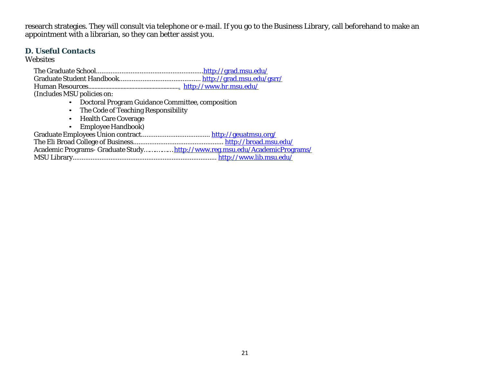research strategies. They will consult via telephone or e-mail. If you go to the Business Library, call beforehand to make an appointment with a librarian, so they can better assist you.

#### *D. Useful Contacts*

Websites

The Graduate School..........................................................[.http://grad.msu.edu/](http://grad.msu.edu/) Graduate Student Handbook............................................. <http://grad.msu.edu/gsrr/> Human Resources............................................................ <http://www.hr.msu.edu/> (Includes MSU policies on:

- Doctoral Program Guidance Committee, composition
- The Code of Teaching Responsibility
- Health Care Coverage
- Employee Handbook)

Graduate Employees Union contract...................................... <http://geuatmsu.org/>

The Eli Broad College of Busines[s..................................................](http://www.bus.msu.edu/) <http://broad.msu.edu/>

Academic Programs- Graduate Study…….………<http://www.reg.msu.edu/AcademicPrograms/>

MSU Library................................................................................ <http://www.lib.msu.edu/>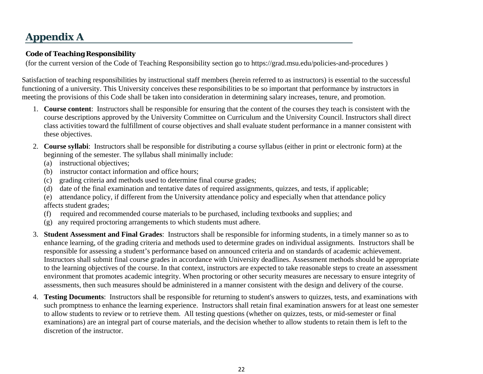# **Appendix A**

### **Code of Teaching Responsibility**

(for the current version of the Code of Teaching Responsibility section go to<https://grad.msu.edu/policies-and-procedures> )

Satisfaction of teaching responsibilities by instructional staff members (herein referred to as instructors) is essential to the successful functioning of a university. This University conceives these responsibilities to be so important that performance by instructors in meeting the provisions of this Code shall be taken into consideration in determining salary increases, tenure, and promotion.

- 1. **Course content**: Instructors shall be responsible for ensuring that the content of the courses they teach is consistent with the course descriptions approved by the University Committee on Curriculum and the University Council. Instructors shall direct class activities toward the fulfillment of course objectives and shall evaluate student performance in a manner consistent with these objectives.
- 2. **Course syllabi**: Instructors shall be responsible for distributing a course syllabus (either in print or electronic form) at the beginning of the semester. The syllabus shall minimally include:
	- (a) instructional objectives;
	- (b) instructor contact information and office hours;
	- (c) grading criteria and methods used to determine final course grades;
	- (d) date of the final examination and tentative dates of required assignments, quizzes, and tests, if applicable;

(e) attendance policy, if different from the University attendance policy and especially when that attendance policy affects student grades;

- (f) required and recommended course materials to be purchased, including textbooks and supplies; and
- (g) any required proctoring arrangements to which students must adhere.
- 3. **Student Assessment and Final Grades**: Instructors shall be responsible for informing students, in a timely manner so as to enhance learning, of the grading criteria and methods used to determine grades on individual assignments. Instructors shall be responsible for assessing a student's performance based on announced criteria and on standards of academic achievement. Instructors shall submit final course grades in accordance with University deadlines. Assessment methods should be appropriate to the learning objectives of the course. In that context, instructors are expected to take reasonable steps to create an assessment environment that promotes academic integrity. When proctoring or other security measures are necessary to ensure integrity of assessments, then such measures should be administered in a manner consistent with the design and delivery of the course.
- 4. **Testing Documents**: Instructors shall be responsible for returning to student's answers to quizzes, tests, and examinations with such promptness to enhance the learning experience. Instructors shall retain final examination answers for at least one semester to allow students to review or to retrieve them. All testing questions (whether on quizzes, tests, or mid-semester or final examinations) are an integral part of course materials, and the decision whether to allow students to retain them is left to the discretion of the instructor.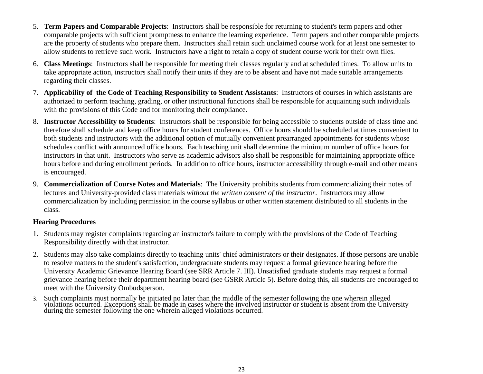- 5. **Term Papers and Comparable Projects**: Instructors shall be responsible for returning to student's term papers and other comparable projects with sufficient promptness to enhance the learning experience. Term papers and other comparable projects are the property of students who prepare them. Instructors shall retain such unclaimed course work for at least one semester to allow students to retrieve such work. Instructors have a right to retain a copy of student course work for their own files.
- 6. **Class Meetings**: Instructors shall be responsible for meeting their classes regularly and at scheduled times. To allow units to take appropriate action, instructors shall notify their units if they are to be absent and have not made suitable arrangements regarding their classes.
- 7. **Applicability of the Code of Teaching Responsibility to Student Assistants**: Instructors of courses in which assistants are authorized to perform teaching, grading, or other instructional functions shall be responsible for acquainting such individuals with the provisions of this Code and for monitoring their compliance.
- 8. **Instructor Accessibility to Students**: Instructors shall be responsible for being accessible to students outside of class time and therefore shall schedule and keep office hours for student conferences. Office hours should be scheduled at times convenient to both students and instructors with the additional option of mutually convenient prearranged appointments for students whose schedules conflict with announced office hours. Each teaching unit shall determine the minimum number of office hours for instructors in that unit. Instructors who serve as academic advisors also shall be responsible for maintaining appropriate office hours before and during enrollment periods. In addition to office hours, instructor accessibility through e-mail and other means is encouraged.
- 9. **Commercialization of Course Notes and Materials**: The University prohibits students from commercializing their notes of lectures and University-provided class materials *without the written consent of the instructor*. Instructors may allow commercialization by including permission in the course syllabus or other written statement distributed to all students in the class.

#### **Hearing Procedures**

- 1. Students may register complaints regarding an instructor's failure to comply with the provisions of the Code of Teaching Responsibility directly with that instructor.
- 2. Students may also take complaints directly to teaching units' chief administrators or their designates. If those persons are unable to resolve matters to the student's satisfaction, undergraduate students may request a formal grievance hearing before the University Academic Grievance Hearing Board (see SRR Article 7. III). Unsatisfied graduate students may request a formal grievance hearing before their department hearing board (see GSRR Article 5). Before doing this, all students are encouraged to meet with the University Ombudsperson.
- 3. Such complaints must normally be initiated no later than the middle of the semester following the one wherein alleged violations occurred. Exceptions shall be made in cases where the involved instructor or student is absent from the University during the semester following the one wherein alleged violations occurred.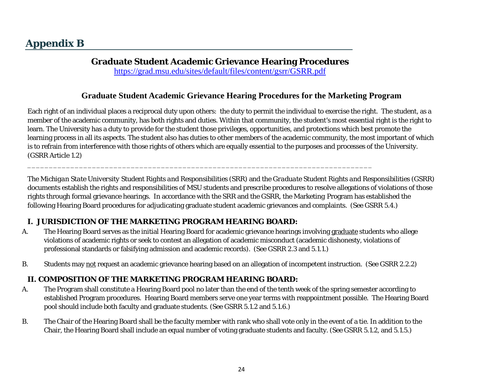# **Graduate Student Academic Grievance Hearing Procedures**

<https://grad.msu.edu/sites/default/files/content/gsrr/GSRR.pdf>

# **Graduate Student Academic Grievance Hearing Procedures for the Marketing Program**

Each right of an individual places a reciprocal duty upon others: the duty to permit the individual to exercise the right. The student, as a member of the academic community, has both rights and duties. Within that community, the student's most essential right is the right to learn. The University has a duty to provide for the student those privileges, opportunities, and protections which best promote the learning process in all its aspects. The student also has duties to other members of the academic community, the most important of which is to refrain from interference with those rights of others which are equally essential to the purposes and processes of the University. (GSRR Article 1.2)

The *Michigan State University Student Rights and Responsibilities (SRR)* and the *Graduate Student Rights and Responsibilities* (GSRR) documents establish the rights and responsibilities of MSU students and prescribe procedures to resolve allegations of violations of those rights through formal grievance hearings. In accordance with the SRR and the GSRR, the Marketing Program has established the following Hearing Board procedures for adjudicating graduate student academic grievances and complaints. (See GSRR 5.4.)

# **I. JURISDICTION OF THE MARKETING PROGRAM HEARING BOARD:**

A. The Hearing Board serves as the initial Hearing Board for academic grievance hearings involving graduate students who allege violations of academic rights or seek to contest an allegation of academic misconduct (academic dishonesty, violations of professional standards or falsifying admission and academic records). (See GSRR 2.3 and 5.1.1.)

\_\_\_\_\_\_\_\_\_\_\_\_\_\_\_\_\_\_\_\_\_\_\_\_\_\_\_\_\_\_\_\_\_\_\_\_\_\_\_\_\_\_\_\_\_\_\_\_\_\_\_\_\_\_\_\_\_\_\_\_\_\_\_\_\_\_\_\_\_\_\_\_\_\_\_\_\_\_\_\_

B. Students may not request an academic grievance hearing based on an allegation of incompetent instruction. (See GSRR 2.2.2)

# **II. COMPOSITION OF THE MARKETING PROGRAM HEARING BOARD:**

- A. The Program shall constitute a Hearing Board pool no later than the end of the tenth week of the spring semester according to established Program procedures. Hearing Board members serve one year terms with reappointment possible. The Hearing Board pool should include both faculty and graduate students. (See GSRR 5.1.2 and 5.1.6.)
- B. The Chair of the Hearing Board shall be the faculty member with rank who shall vote only in the event of a tie. In addition to the Chair, the Hearing Board shall include an equal number of voting graduate students and faculty. (See GSRR 5.1.2, and 5.1.5.)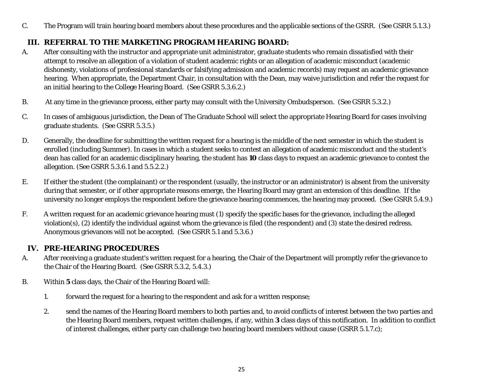C. The Program will train hearing board members about these procedures and the applicable sections of the GSRR. (See GSRR 5.1.3.)

# **III. REFERRAL TO THE MARKETING PROGRAM HEARING BOARD:**

- A. After consulting with the instructor and appropriate unit administrator, graduate students who remain dissatisfied with their attempt to resolve an allegation of a violation of student academic rights or an allegation of academic misconduct (academic dishonesty, violations of professional standards or falsifying admission and academic records) may request an academic grievance hearing. When appropriate, the Department Chair, in consultation with the Dean, may waive jurisdiction and refer the request for an initial hearing to the College Hearing Board. (See GSRR 5.3.6.2.)
- B. At any time in the grievance process, either party may consult with the University Ombudsperson. (See GSRR 5.3.2.)
- C. In cases of ambiguous jurisdiction, the Dean of The Graduate School will select the appropriate Hearing Board for cases involving graduate students. (See GSRR 5.3.5.)
- D. Generally, the deadline for submitting the written request for a hearing is the middle of the next semester in which the student is enrolled (including Summer). In cases in which a student seeks to contest an allegation of academic misconduct and the student's dean has called for an academic disciplinary hearing, the student has **10** class days to request an academic grievance to contest the allegation. (See GSRR 5.3.6.1 and 5.5.2.2.)
- E. If either the student (the complainant) or the respondent (usually, the instructor or an administrator) is absent from the university during that semester, or if other appropriate reasons emerge, the Hearing Board may grant an extension of this deadline. If the university no longer employs the respondent before the grievance hearing commences, the hearing may proceed. (See GSRR 5.4.9.)
- F. A written request for an academic grievance hearing must (1) specify the specific bases for the grievance, including the alleged violation(s), (2) identify the individual against whom the grievance is filed (the respondent) and (3) state the desired redress. Anonymous grievances will not be accepted. (See GSRR 5.1 and 5.3.6.)

# **IV. PRE-HEARING PROCEDURES**

- A. After receiving a graduate student's written request for a hearing, the Chair of the Department will promptly refer the grievance to the Chair of the Hearing Board. (See GSRR 5.3.2, 5.4.3.)
- B. Within **5** class days, the Chair of the Hearing Board will:
	- 1. forward the request for a hearing to the respondent and ask for a written response;
	- 2. send the names of the Hearing Board members to both parties and, to avoid conflicts of interest between the two parties and the Hearing Board members, request written challenges, if any, within **3** class days of this notification. In addition to conflict of interest challenges, either party can challenge two hearing board members without cause (GSRR 5.1.7.c);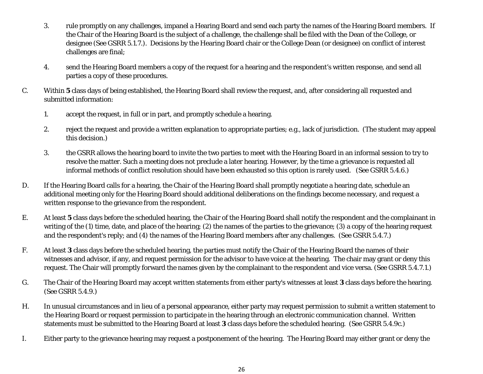- 3. rule promptly on any challenges, impanel a Hearing Board and send each party the names of the Hearing Board members. If the Chair of the Hearing Board is the subject of a challenge, the challenge shall be filed with the Dean of the College, or designee (See GSRR 5.1.7.). Decisions by the Hearing Board chair or the College Dean (or designee) on conflict of interest challenges are final;
- 4. send the Hearing Board members a copy of the request for a hearing and the respondent's written response, and send all parties a copy of these procedures.
- C. Within **5** class days of being established, the Hearing Board shall review the request, and, after considering all requested and submitted information:
	- 1. accept the request, in full or in part, and promptly schedule a hearing.
	- 2. reject the request and provide a written explanation to appropriate parties; e.g., lack of jurisdiction. (The student may appeal this decision.)
	- 3. the GSRR allows the hearing board to invite the two parties to meet with the Hearing Board in an informal session to try to resolve the matter. Such a meeting does not preclude a later hearing. However, by the time a grievance is requested all informal methods of conflict resolution should have been exhausted so this option is rarely used. (See GSRR 5.4.6.)
- D. If the Hearing Board calls for a hearing, the Chair of the Hearing Board shall promptly negotiate a hearing date, schedule an additional meeting only for the Hearing Board should additional deliberations on the findings become necessary, and request a written response to the grievance from the respondent.
- E. At least **5** class days before the scheduled hearing, the Chair of the Hearing Board shall notify the respondent and the complainant in writing of the (1) time, date, and place of the hearing; (2) the names of the parties to the grievance; (3) a copy of the hearing request and the respondent's reply; and (4) the names of the Hearing Board members after any challenges. (See GSRR 5.4.7.)
- F. At least **3** class days before the scheduled hearing, the parties must notify the Chair of the Hearing Board the names of their witnesses and advisor, if any, and request permission for the advisor to have voice at the hearing. The chair may grant or deny this request. The Chair will promptly forward the names given by the complainant to the respondent and vice versa. (See GSRR 5.4.7.1.)
- G. The Chair of the Hearing Board may accept written statements from either party's witnesses at least **3** class days before the hearing. (See GSRR 5.4.9.)
- H. In unusual circumstances and in lieu of a personal appearance, either party may request permission to submit a written statement to the Hearing Board or request permission to participate in the hearing through an electronic communication channel. Written statements must be submitted to the Hearing Board at least **3** class days before the scheduled hearing. (See GSRR 5.4.9c.)
- I. Either party to the grievance hearing may request a postponement of the hearing. The Hearing Board may either grant or deny the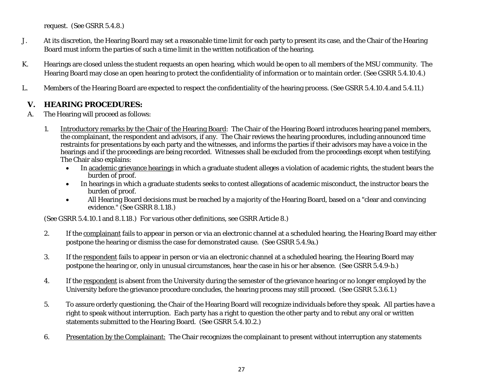request. (See GSRR 5.4.8.)

- J. At its discretion, the Hearing Board may set a reasonable time limit for each party to present its case, and the Chair of the Hearing Board must inform the parties of such a time limit in the written notification of the hearing.
- K. Hearings are closed unless the student requests an open hearing, which would be open to all members of the MSU community. The Hearing Board may close an open hearing to protect the confidentiality of information or to maintain order. (See GSRR 5.4.10.4.)
- L. Members of the Hearing Board are expected to respect the confidentiality of the hearing process. (See GSRR 5.4.10.4.and 5.4.11.)

# **V. HEARING PROCEDURES:**

- A. The Hearing will proceed as follows:
	- 1. Introductory remarks by the Chair of the Hearing Board: The Chair of the Hearing Board introduces hearing panel members, the complainant, the respondent and advisors, if any. The Chair reviews the hearing procedures, including announced time restraints for presentations by each party and the witnesses, and informs the parties if their advisors may have a voice in the hearings and if the proceedings are being recorded. Witnesses shall be excluded from the proceedings except when testifying. The Chair also explains:
		- In academic grievance hearings in which a graduate student alleges a violation of academic rights, the student bears the burden of proof.
		- In hearings in which a graduate students seeks to contest allegations of academic misconduct, the instructor bears the burden of proof.
		- All Hearing Board decisions must be reached by a majority of the Hearing Board, based on a "clear and convincing evidence." (See GSRR 8.1.18.)

(See GSRR 5.4.10.1 and 8.1.18.) For various other definitions, see GSRR Article 8.)

- 2. If the complainant fails to appear in person or via an electronic channel at a scheduled hearing, the Hearing Board may either postpone the hearing or dismiss the case for demonstrated cause. (See GSRR 5.4.9a.)
- 3. If the respondent fails to appear in person or via an electronic channel at a scheduled hearing, the Hearing Board may postpone the hearing or, only in unusual circumstances, hear the case in his or her absence. (See GSRR 5.4.9-b.)
- 4. If the respondent is absent from the University during the semester of the grievance hearing or no longer employed by the University before the grievance procedure concludes, the hearing process may still proceed. (See GSRR 5.3.6.1.)
- 5. To assure orderly questioning, the Chair of the Hearing Board will recognize individuals before they speak. All parties have a right to speak without interruption. Each party has a right to question the other party and to rebut any oral or written statements submitted to the Hearing Board. (See GSRR 5.4.10.2.)
- 6. Presentation by the Complainant: The Chair recognizes the complainant to present without interruption any statements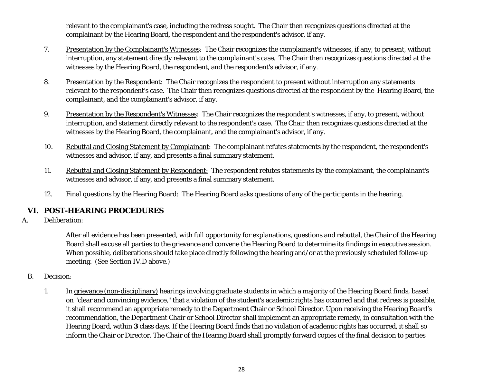relevant to the complainant's case, including the redress sought. The Chair then recognizes questions directed at the complainant by the Hearing Board, the respondent and the respondent's advisor, if any.

- 7. Presentation by the Complainant's Witnesses: The Chair recognizes the complainant's witnesses, if any, to present, without interruption, any statement directly relevant to the complainant's case. The Chair then recognizes questions directed at the witnesses by the Hearing Board, the respondent, and the respondent's advisor, if any.
- 8. Presentation by the Respondent: The Chair recognizes the respondent to present without interruption any statements relevant to the respondent's case. The Chair then recognizes questions directed at the respondent by the Hearing Board, the complainant, and the complainant's advisor, if any.
- 9. Presentation by the Respondent's Witnesses: The Chair recognizes the respondent's witnesses, if any, to present, without interruption, and statement directly relevant to the respondent's case. The Chair then recognizes questions directed at the witnesses by the Hearing Board, the complainant, and the complainant's advisor, if any.
- 10. Rebuttal and Closing Statement by Complainant: The complainant refutes statements by the respondent, the respondent's witnesses and advisor, if any, and presents a final summary statement.
- 11. Rebuttal and Closing Statement by Respondent: The respondent refutes statements by the complainant, the complainant's witnesses and advisor, if any, and presents a final summary statement.
- 12. Final questions by the Hearing Board: The Hearing Board asks questions of any of the participants in the hearing.

#### **VI. POST-HEARING PROCEDURES**

A. Deliberation:

After all evidence has been presented, with full opportunity for explanations, questions and rebuttal, the Chair of the Hearing Board shall excuse all parties to the grievance and convene the Hearing Board to determine its findings in executive session. When possible, deliberations should take place directly following the hearing and/or at the previously scheduled follow-up meeting. (See Section IV.D above.)

- B. Decision:
	- 1. In grievance (non-disciplinary) hearings involving graduate students in which a majority of the Hearing Board finds, based on "clear and convincing evidence," that a violation of the student's academic rights has occurred and that redress is possible, it shall recommend an appropriate remedy to the Department Chair or School Director. Upon receiving the Hearing Board's recommendation, the Department Chair or School Director shall implement an appropriate remedy, in consultation with the Hearing Board, within **3** class days. If the Hearing Board finds that no violation of academic rights has occurred, it shall so inform the Chair or Director. The Chair of the Hearing Board shall promptly forward copies of the final decision to parties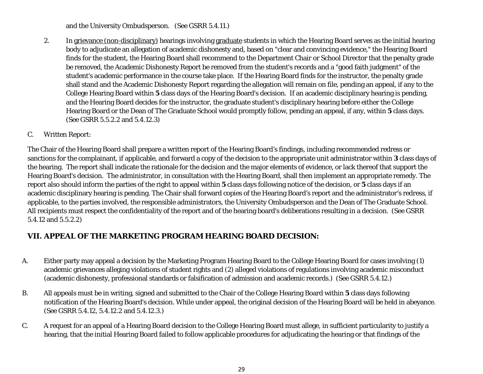and the University Ombudsperson. (See GSRR 5.4.11.)

2. In grievance (non-disciplinary) hearings involving graduate students in which the Hearing Board serves as the initial hearing body to adjudicate an allegation of academic dishonesty and, based on "clear and convincing evidence," the Hearing Board finds for the student, the Hearing Board shall recommend to the Department Chair or School Director that the penalty grade be removed, the Academic Dishonesty Report be removed from the student's records and a "good faith judgment" of the student's academic performance in the course take place. If the Hearing Board finds for the instructor, the penalty grade shall stand and the Academic Dishonesty Report regarding the allegation will remain on file, pending an appeal, if any to the College Hearing Board within **5** class days of the Hearing Board's decision. If an academic disciplinary hearing is pending, and the Hearing Board decides for the instructor, the graduate student's disciplinary hearing before either the College Hearing Board or the Dean of The Graduate School would promptly follow, pending an appeal, if any, within **5** class days. (See GSRR 5.5.2.2 and 5.4.12.3)

#### C. Written Report:

The Chair of the Hearing Board shall prepare a written report of the Hearing Board's findings, including recommended redress or sanctions for the complainant, if applicable, and forward a copy of the decision to the appropriate unit administrator within **3** class days of the hearing. The report shall indicate the rationale for the decision and the major elements of evidence, or lack thereof that support the Hearing Board's decision. The administrator, in consultation with the Hearing Board, shall then implement an appropriate remedy. The report also should inform the parties of the right to appeal within **5** class days following notice of the decision, or **5** class days if an academic disciplinary hearing is pending. The Chair shall forward copies of the Hearing Board's report and the administrator's redress, if applicable, to the parties involved, the responsible administrators, the University Ombudsperson and the Dean of The Graduate School. All recipients must respect the confidentiality of the report and of the hearing board's deliberations resulting in a decision. (See GSRR 5.4.12 and 5.5.2.2)

# **VII. APPEAL OF THE MARKETING PROGRAM HEARING BOARD DECISION:**

- A. Either party may appeal a decision by the Marketing Program Hearing Board to the College Hearing Board for cases involving (1) academic grievances alleging violations of student rights and (2) alleged violations of regulations involving academic misconduct (academic dishonesty, professional standards or falsification of admission and academic records.) (See GSRR 5.4.12.)
- B. All appeals must be in writing, signed and submitted to the Chair of the College Hearing Board within **5** class days following notification of the Hearing Board's decision. While under appeal, the original decision of the Hearing Board will be held in abeyance. (See GSRR 5.4.12, 5.4.12.2 and 5.4.12.3.)
- C. A request for an appeal of a Hearing Board decision to the College Hearing Board must allege, in sufficient particularity to justify a hearing, that the initial Hearing Board failed to follow applicable procedures for adjudicating the hearing or that findings of the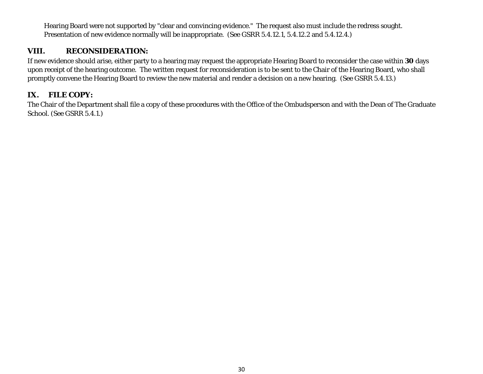Hearing Board were not supported by "clear and convincing evidence." The request also must include the redress sought. Presentation of new evidence normally will be inappropriate. (See GSRR 5.4.12.1, 5.4.12.2 and 5.4.12.4.)

#### **VIII. RECONSIDERATION:**

If new evidence should arise, either party to a hearing may request the appropriate Hearing Board to reconsider the case within **30** days upon receipt of the hearing outcome. The written request for reconsideration is to be sent to the Chair of the Hearing Board, who shall promptly convene the Hearing Board to review the new material and render a decision on a new hearing. (See GSRR 5.4.13.)

# **IX. FILE COPY:**

The Chair of the Department shall file a copy of these procedures with the Office of the Ombudsperson and with the Dean of The Graduate School. (See GSRR 5.4.1.)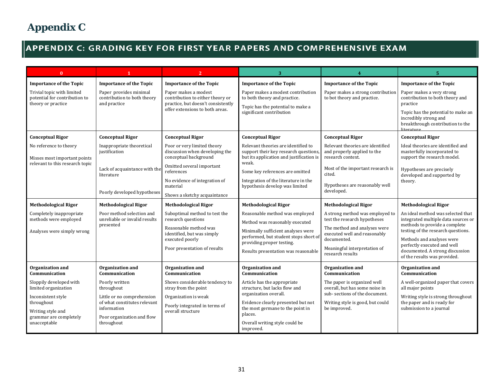# **APPENDIX C: GRADING KEY FOR FIRST YEAR PAPERS AND COMPREHENSIVE EXAM**

| $\mathbf{0}$                                                                      | $\mathbf{1}$                                                          | $\overline{2}$                                                                                 | 3                                                                                                                        |                                                                                      | 5                                                                                                             |
|-----------------------------------------------------------------------------------|-----------------------------------------------------------------------|------------------------------------------------------------------------------------------------|--------------------------------------------------------------------------------------------------------------------------|--------------------------------------------------------------------------------------|---------------------------------------------------------------------------------------------------------------|
| <b>Importance of the Topic</b>                                                    | <b>Importance of the Topic</b>                                        | <b>Importance of the Topic</b>                                                                 | <b>Importance of the Topic</b>                                                                                           | <b>Importance of the Topic</b>                                                       | <b>Importance of the Topic</b>                                                                                |
| Trivial topic with limited<br>potential for contribution to<br>theory or practice | Paper provides minimal<br>contribution to both theory<br>and practice | Paper makes a modest<br>contribution to either theory or<br>practice, but doesn't consistently | Paper makes a modest contribution<br>to both theory and practice.<br>Topic has the potential to make a                   | Paper makes a strong contribution<br>to bot theory and practice.                     | Paper makes a very strong<br>contribution to both theory and<br>practice                                      |
|                                                                                   |                                                                       | offer extensions to both areas.                                                                | significant contribution                                                                                                 |                                                                                      | Topic has the potential to make an<br>incredibly strong and<br>breakthrough contribution to the<br>literature |
| <b>Conceptual Rigor</b>                                                           | <b>Conceptual Rigor</b>                                               | <b>Conceptual Rigor</b>                                                                        | <b>Conceptual Rigor</b>                                                                                                  | <b>Conceptual Rigor</b>                                                              | <b>Conceptual Rigor</b>                                                                                       |
| No reference to theory<br>Misses most important points                            | Inappropriate theoretical<br>justification                            | Poor or very limited theory<br>discussion when developing the<br>conceptual background         | Relevant theories are identified to<br>support their key research questions,<br>but its application and justification is | Relevant theories are identified<br>and properly applied to the<br>research context. | Ideal theories are identified and<br>masterfully incorporated to<br>support the research model.               |
| relevant to this research topic                                                   | Lack of acquaintance with the<br>literature                           | Omitted several important<br>references                                                        | weak.<br>Some key references are omitted                                                                                 | Most of the important research is<br>cited.                                          | Hypotheses are precisely<br>developed and supported by                                                        |
|                                                                                   |                                                                       | No evidence of integration of<br>material                                                      | Integration of the literature in the<br>hypothesis develop was limited                                                   | Hypotheses are reasonably well                                                       | theory.                                                                                                       |
|                                                                                   | Poorly developed hypotheses                                           | Shows a sketchy acquaintance                                                                   |                                                                                                                          | developed.                                                                           |                                                                                                               |
| <b>Methodological Rigor</b>                                                       | <b>Methodological Rigor</b>                                           | <b>Methodological Rigor</b>                                                                    | <b>Methodological Rigor</b>                                                                                              | <b>Methodological Rigor</b>                                                          | <b>Methodological Rigor</b>                                                                                   |
| Completely inappropriate<br>methods were employed                                 | Poor method selection and<br>unreliable or invalid results            | Suboptimal method to test the<br>research questions                                            | Reasonable method was employed                                                                                           | A strong method was employed to<br>test the research hypotheses                      | An ideal method was selected that<br>integrated multiple data sources or                                      |
| Analyses were simply wrong                                                        | presented                                                             | Reasonable method was<br>identified, but was simply                                            | Method was reasonably executed<br>Minimally sufficient analyses were                                                     | The method and analyses were<br>executed well and reasonably                         | methods to provide a complete<br>testing of the research questions.                                           |
|                                                                                   |                                                                       | executed poorly                                                                                | performed, but student stops short of<br>providing proper testing.                                                       | documented.                                                                          | Methods and analyses were                                                                                     |
|                                                                                   |                                                                       | Poor presentation of results                                                                   | Results presentation was reasonable                                                                                      | Meaningful interpretation of<br>research results                                     | perfectly executed and well<br>documented. A strong discussion<br>of the results was provided.                |
| Organization and<br>Communication                                                 | Organization and<br>Communication                                     | Organization and<br>Communication                                                              | Organization and<br>Communication                                                                                        | Organization and<br>Communication                                                    | Organization and<br>Communication                                                                             |
| Sloppily developed with<br>limited organization                                   | Poorly written<br>throughout                                          | Shows considerable tendency to<br>stray from the point                                         | Article has the appropriate<br>structure, but lacks flow and                                                             | The paper is organized well<br>overall, but has some noise in                        | A well-organized paper that covers<br>all major points                                                        |
| Inconsistent style                                                                | Little or no comprehension                                            | Organization is weak                                                                           | organization overall.                                                                                                    | sub-sections of the document.                                                        | Writing style is strong throughout                                                                            |
| throughout<br>Writing style and<br>grammar are completely                         | of what constitutes relevant<br>information                           | Poorly integrated in terms of<br>overall structure                                             | Evidence clearly presented but not<br>the most germane to the point in<br>places.                                        | Writing style is good, but could<br>be improved.                                     | the paper and is ready for<br>submission to a journal                                                         |
| unacceptable                                                                      | Poor organization and flow<br>throughout                              |                                                                                                | Overall writing style could be<br>improved.                                                                              |                                                                                      |                                                                                                               |